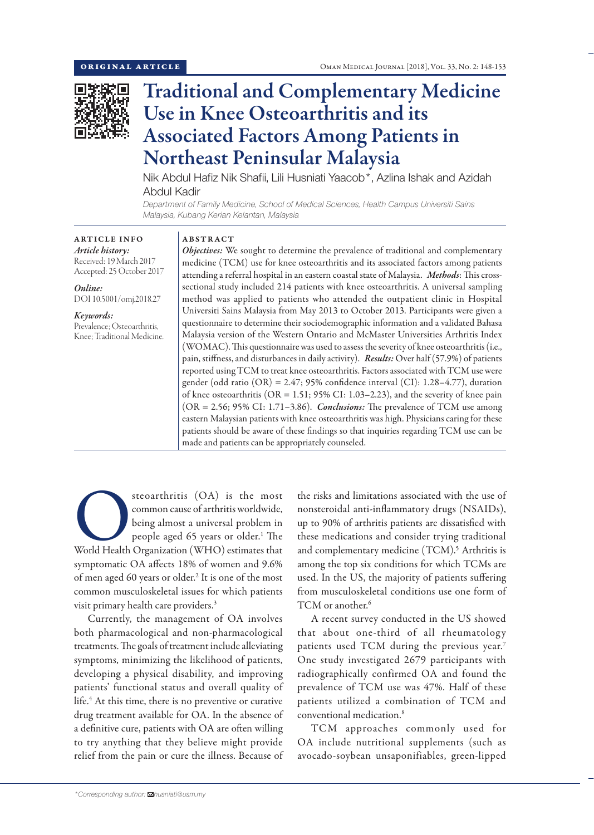

# Traditional and Complementary Medicine Use in Knee Osteoarthritis and its Associated Factors Among Patients in Northeast Peninsular Malaysia

Nik Abdul Hafiz Nik Shafii, Lili Husniati Yaacob\*, Azlina Ishak and Azidah Abdul Kadir

*Department of Family Medicine, School of Medical Sciences, Health Campus Universiti Sains Malaysia, Kubang Kerian Kelantan, Malaysia*

### ARTICLE INFO *Article history:* Received: 19 March 2017 Accepted: 25 October 2017

*Online:* DOI 10.5001/omj.2018.27

#### *Keywords:*  Prevalence; Osteoarthritis, Knee; Traditional Medicine.

# ABSTRACT

*Objectives:* We sought to determine the prevalence of traditional and complementary medicine (TCM) use for knee osteoarthritis and its associated factors among patients attending a referral hospital in an eastern coastal state of Malaysia. *Methods*: This crosssectional study included 214 patients with knee osteoarthritis. A universal sampling method was applied to patients who attended the outpatient clinic in Hospital Universiti Sains Malaysia from May 2013 to October 2013. Participants were given a questionnaire to determine their sociodemographic information and a validated Bahasa Malaysia version of the Western Ontario and McMaster Universities Arthritis Index (WOMAC). This questionnaire was used to assess the severity of knee osteoarthritis (i.e., pain, stiffness, and disturbances in daily activity). *Results:* Over half (57.9%) of patients reported using TCM to treat knee osteoarthritis. Factors associated with TCM use were gender (odd ratio (OR) = 2.47; 95% confidence interval (CI): 1.28–4.77), duration of knee osteoarthritis (OR = 1.51; 95% CI: 1.03–2.23), and the severity of knee pain (OR = 2.56; 95% CI: 1.71–3.86). *Conclusions:* The prevalence of TCM use among eastern Malaysian patients with knee osteoarthritis was high. Physicians caring for these patients should be aware of these findings so that inquiries regarding TCM use can be made and patients can be appropriately counseled.

steoarthritis (OA) is the most<br>
common cause of arthritis worldwide,<br>
being almost a universal problem in<br>
people aged 65 years or older.<sup>1</sup> The<br>
World Health Organization (WHO) estimates that common cause of arthritis worldwide, being almost a universal problem in people aged 65 years or older.<sup>1</sup> The symptomatic OA affects 18% of women and 9.6% of men aged 60 years or older.<sup>2</sup> It is one of the most common musculoskeletal issues for which patients visit primary health care providers.3

Currently, the management of OA involves both pharmacological and non-pharmacological treatments. The goals of treatment include alleviating symptoms, minimizing the likelihood of patients, developing a physical disability, and improving patients' functional status and overall quality of life.<sup>4</sup> At this time, there is no preventive or curative drug treatment available for OA. In the absence of a definitive cure, patients with OA are often willing to try anything that they believe might provide relief from the pain or cure the illness. Because of the risks and limitations associated with the use of nonsteroidal anti-inflammatory drugs (NSAIDs), up to 90% of arthritis patients are dissatisfied with these medications and consider trying traditional and complementary medicine (TCM).<sup>5</sup> Arthritis is among the top six conditions for which TCMs are used. In the US, the majority of patients suffering from musculoskeletal conditions use one form of  $TCM$  or another.<sup>6</sup>

A recent survey conducted in the US showed that about one-third of all rheumatology patients used TCM during the previous year.7 One study investigated 2679 participants with radiographically confirmed OA and found the prevalence of TCM use was 47%. Half of these patients utilized a combination of TCM and conventional medication.8

TCM approaches commonly used for OA include nutritional supplements (such as avocado-soybean unsaponifiables, green-lipped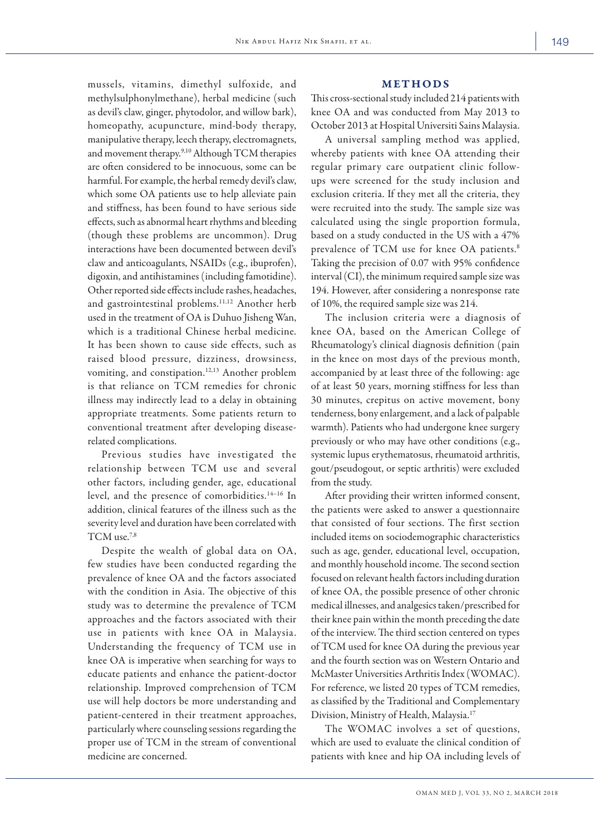mussels, vitamins, dimethyl sulfoxide, and methylsulphonylmethane), herbal medicine (such as devil's claw, ginger, phytodolor, and willow bark), homeopathy, acupuncture, mind-body therapy, manipulative therapy, leech therapy, electromagnets, and movement therapy.<sup>9,10</sup> Although TCM therapies are often considered to be innocuous, some can be harmful. For example, the herbal remedy devil's claw, which some OA patients use to help alleviate pain and stiffness, has been found to have serious side effects, such as abnormal heart rhythms and bleeding (though these problems are uncommon). Drug interactions have been documented between devil's claw and anticoagulants, NSAIDs (e.g., ibuprofen), digoxin, and antihistamines (including famotidine). Other reported side effects include rashes, headaches, and gastrointestinal problems.<sup>11,12</sup> Another herb used in the treatment of OA is Duhuo Jisheng Wan, which is a traditional Chinese herbal medicine. It has been shown to cause side effects, such as raised blood pressure, dizziness, drowsiness, vomiting, and constipation.12,13 Another problem is that reliance on TCM remedies for chronic illness may indirectly lead to a delay in obtaining appropriate treatments. Some patients return to conventional treatment after developing diseaserelated complications.

Previous studies have investigated the relationship between TCM use and several other factors, including gender, age, educational level, and the presence of comorbidities.14–16 In addition, clinical features of the illness such as the severity level and duration have been correlated with TCM use.7,8

Despite the wealth of global data on OA, few studies have been conducted regarding the prevalence of knee OA and the factors associated with the condition in Asia. The objective of this study was to determine the prevalence of TCM approaches and the factors associated with their use in patients with knee OA in Malaysia. Understanding the frequency of TCM use in knee OA is imperative when searching for ways to educate patients and enhance the patient-doctor relationship. Improved comprehension of TCM use will help doctors be more understanding and patient-centered in their treatment approaches, particularly where counseling sessions regarding the proper use of TCM in the stream of conventional medicine are concerned.

#### METHODS

This cross-sectional study included 214 patients with knee OA and was conducted from May 2013 to October 2013 at Hospital Universiti Sains Malaysia.

A universal sampling method was applied, whereby patients with knee OA attending their regular primary care outpatient clinic followups were screened for the study inclusion and exclusion criteria. If they met all the criteria, they were recruited into the study. The sample size was calculated using the single proportion formula, based on a study conducted in the US with a 47% prevalence of TCM use for knee OA patients.<sup>8</sup> Taking the precision of 0.07 with 95% confidence interval (CI), the minimum required sample size was 194. However, after considering a nonresponse rate of 10%, the required sample size was 214.

The inclusion criteria were a diagnosis of knee OA, based on the American College of Rheumatology's clinical diagnosis definition (pain in the knee on most days of the previous month, accompanied by at least three of the following: age of at least 50 years, morning stiffness for less than 30 minutes, crepitus on active movement, bony tenderness, bony enlargement, and a lack of palpable warmth). Patients who had undergone knee surgery previously or who may have other conditions (e.g., systemic lupus erythematosus, rheumatoid arthritis, gout/pseudogout, or septic arthritis) were excluded from the study.

After providing their written informed consent, the patients were asked to answer a questionnaire that consisted of four sections. The first section included items on sociodemographic characteristics such as age, gender, educational level, occupation, and monthly household income. The second section focused on relevant health factors including duration of knee OA, the possible presence of other chronic medical illnesses, and analgesics taken/prescribed for their knee pain within the month preceding the date of the interview. The third section centered on types of TCM used for knee OA during the previous year and the fourth section was on Western Ontario and McMaster Universities Arthritis Index (WOMAC). For reference, we listed 20 types of TCM remedies, as classified by the Traditional and Complementary Division, Ministry of Health, Malaysia.17

The WOMAC involves a set of questions, which are used to evaluate the clinical condition of patients with knee and hip OA including levels of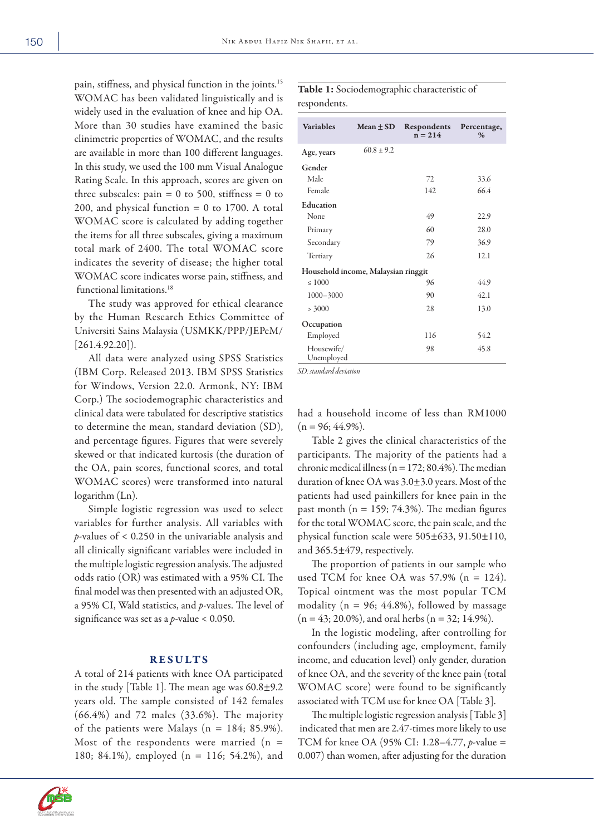pain, stiffness, and physical function in the joints.15 WOMAC has been validated linguistically and is widely used in the evaluation of knee and hip OA. More than 30 studies have examined the basic clinimetric properties of WOMAC, and the results are available in more than 100 different languages. In this study, we used the 100 mm Visual Analogue Rating Scale. In this approach, scores are given on three subscales:  $\text{pain} = 0 \text{ to } 500$ , stiffness = 0 to 200, and physical function  $= 0$  to 1700. A total WOMAC score is calculated by adding together the items for all three subscales, giving a maximum total mark of 2400. The total WOMAC score indicates the severity of disease; the higher total WOMAC score indicates worse pain, stiffness, and functional limitations.18

The study was approved for ethical clearance by the Human Research Ethics Committee of Universiti Sains Malaysia (USMKK/PPP/JEPeM/  $[261.4.92.20]$ ).

All data were analyzed using SPSS Statistics (IBM Corp. Released 2013. IBM SPSS Statistics for Windows, Version 22.0. Armonk, NY: IBM Corp.) The sociodemographic characteristics and clinical data were tabulated for descriptive statistics to determine the mean, standard deviation (SD), and percentage figures. Figures that were severely skewed or that indicated kurtosis (the duration of the OA, pain scores, functional scores, and total WOMAC scores) were transformed into natural logarithm (Ln).

Simple logistic regression was used to select variables for further analysis. All variables with *p*-values of < 0.250 in the univariable analysis and all clinically significant variables were included in the multiple logistic regression analysis. The adjusted odds ratio (OR) was estimated with a 95% CI. The final model was then presented with an adjusted OR, a 95% CI, Wald statistics, and *p*-values. The level of significance was set as a *p*-value < 0.050.

## RESULTS

A total of 214 patients with knee OA participated in the study [Table 1]. The mean age was  $60.8 \pm 9.2$ years old. The sample consisted of 142 females (66.4%) and 72 males (33.6%). The majority of the patients were Malays ( $n = 184$ ; 85.9%). Most of the respondents were married  $(n =$ 180; 84.1%), employed (n = 116; 54.2%), and



| <b>Variables</b>                    | $Mean + SD$  | Respondents<br>$n = 214$ | Percentage,<br>$\%$ |  |  |
|-------------------------------------|--------------|--------------------------|---------------------|--|--|
| Age, years                          | $60.8 + 9.2$ |                          |                     |  |  |
| Gender                              |              |                          |                     |  |  |
| Male                                |              | 72                       | 33.6                |  |  |
| Female                              |              | 142                      | 66.4                |  |  |
| Education                           |              |                          |                     |  |  |
| None                                |              | 49                       | 22.9                |  |  |
| Primary                             |              | 60                       | 28.0                |  |  |
| Secondary                           |              | 79                       | 36.9                |  |  |
| Tertiary                            |              | 26                       | 12.1                |  |  |
| Household income, Malaysian ringgit |              |                          |                     |  |  |
| $\leq 1000$                         |              | 96                       | 44.9                |  |  |
| $1000 - 3000$                       |              | 90                       | 42.1                |  |  |
| > 3000                              |              | 28                       | 13.0                |  |  |
| Occupation                          |              |                          |                     |  |  |
| Employed                            |              | 116                      | 54.2                |  |  |
| Housewife/<br>Unemployed            |              | 98                       | 45.8                |  |  |

*SD: standard deviation*

had a household income of less than RM1000  $(n = 96; 44.9\%).$ 

Table 2 gives the clinical characteristics of the participants. The majority of the patients had a chronic medical illness ( $n = 172$ ; 80.4%). The median duration of knee OA was 3.0±3.0 years. Most of the patients had used painkillers for knee pain in the past month ( $n = 159$ ; 74.3%). The median figures for the total WOMAC score, the pain scale, and the physical function scale were 505±633, 91.50±110, and 365.5±479, respectively.

The proportion of patients in our sample who used TCM for knee OA was  $57.9\%$  (n = 124). Topical ointment was the most popular TCM modality ( $n = 96$ ; 44.8%), followed by massage  $(n = 43; 20.0\%)$ , and oral herbs  $(n = 32; 14.9\%).$ 

In the logistic modeling, after controlling for confounders (including age, employment, family income, and education level) only gender, duration of knee OA, and the severity of the knee pain (total WOMAC score) were found to be significantly associated with TCM use for knee OA [Table 3].

The multiple logistic regression analysis [Table 3] indicated that men are 2.47-times more likely to use TCM for knee OA (95% CI: 1.28–4.77, *p*-value = 0.007) than women, after adjusting for the duration



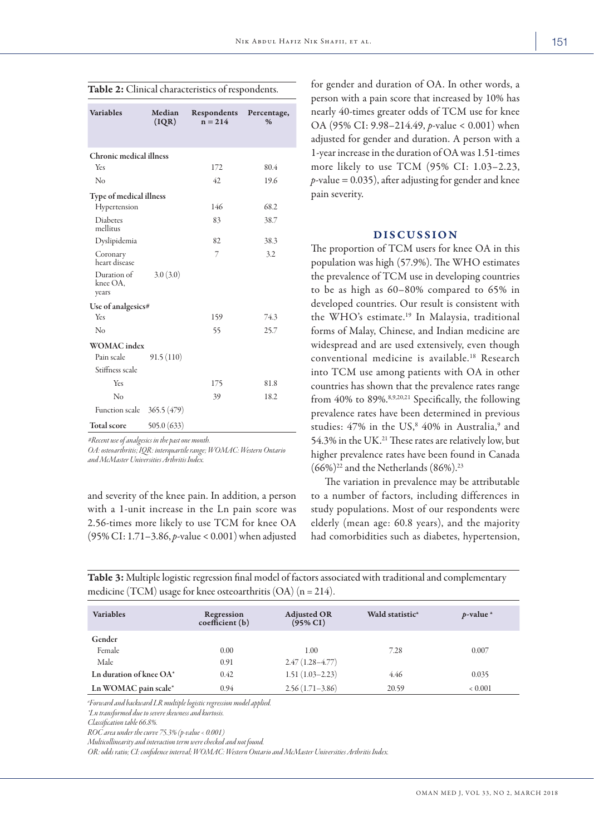| ٠<br>×<br>I<br>w<br>٠ |
|-----------------------|
|                       |

| <b>Variables</b>                 | Median<br>(IQR) | Respondents<br>$n = 214$ | Percentage,<br>% |  |  |
|----------------------------------|-----------------|--------------------------|------------------|--|--|
|                                  |                 |                          |                  |  |  |
| <b>Chronic medical illness</b>   |                 |                          |                  |  |  |
| Yes                              |                 | 172                      | 80.4             |  |  |
| No                               |                 | 42.                      | 19.6             |  |  |
| <b>Type of medical illness</b>   |                 |                          |                  |  |  |
| Hypertension                     |                 | 146                      | 68.2             |  |  |
| Diabetes<br>mellitus             |                 | 83                       | 38.7             |  |  |
| Dyslipidemia                     |                 | 82                       | 38.3             |  |  |
| Coronary<br>heart disease        |                 | 7                        | 3.2              |  |  |
| Duration of<br>knee OA,<br>years | 3.0(3.0)        |                          |                  |  |  |
| Use of analgesics#               |                 |                          |                  |  |  |
| Yes                              |                 | 159                      | 74.3             |  |  |
| $\rm No$                         |                 | 55                       | 25.7             |  |  |
| <b>WOMAC</b> index               |                 |                          |                  |  |  |
| Pain scale                       | 91.5(110)       |                          |                  |  |  |
| Stiffness scale                  |                 |                          |                  |  |  |
| Yes                              |                 | 175                      | 81.8             |  |  |
| No                               |                 | 39                       | 18.2             |  |  |
| Function scale $365.5(479)$      |                 |                          |                  |  |  |
| <b>Total score</b>               | 505.0(633)      |                          |                  |  |  |

| Table 2: Clinical characteristics of respondents. |  |
|---------------------------------------------------|--|
|---------------------------------------------------|--|

*#Recent use of analgesics in the past one month.*

*OA: osteoarthritis; IQR: interquartile range; WOMAC: Western Ontario and McMaster Universities Arthritis Index.*

and severity of the knee pain. In addition, a person with a 1-unit increase in the Ln pain score was 2.56-times more likely to use TCM for knee OA (95% CI: 1.71–3.86, *p*-value < 0.001) when adjusted for gender and duration of OA. In other words, a person with a pain score that increased by 10% has nearly 40-times greater odds of TCM use for knee OA (95% CI: 9.98–214.49, *p*-value < 0.001) when adjusted for gender and duration. A person with a 1-year increase in the duration of OA was 1.51-times more likely to use TCM (95% CI: 1.03–2.23,  $p$ -value = 0.035), after adjusting for gender and knee pain severity.

# DISCUSSION

The proportion of TCM users for knee OA in this population was high (57.9%). The WHO estimates the prevalence of TCM use in developing countries to be as high as 60–80% compared to 65% in developed countries. Our result is consistent with the WHO's estimate.19 In Malaysia, traditional forms of Malay, Chinese, and Indian medicine are widespread and are used extensively, even though conventional medicine is available.18 Research into TCM use among patients with OA in other countries has shown that the prevalence rates range from 40% to 89%.<sup>8,9,20,21</sup> Specifically, the following prevalence rates have been determined in previous studies: 47% in the US,<sup>8</sup> 40% in Australia,<sup>9</sup> and 54.3% in the UK.<sup>21</sup> These rates are relatively low, but higher prevalence rates have been found in Canada  $(66\%)^{22}$  and the Netherlands  $(86\%)^{23}$ 

The variation in prevalence may be attributable to a number of factors, including differences in study populations. Most of our respondents were elderly (mean age: 60.8 years), and the majority had comorbidities such as diabetes, hypertension,

| <b>Variables</b>        | Regression<br>coefficient (b) | <b>Adjusted OR</b><br>$(95\% \text{ CI})$ | Wald statistic <sup>a</sup> | $p$ -value <sup>a</sup> |
|-------------------------|-------------------------------|-------------------------------------------|-----------------------------|-------------------------|
| Gender                  |                               |                                           |                             |                         |
| Female                  | 0.00                          | 1.00                                      | 7.28                        | 0.007                   |
| Male                    | 0.91                          | $2.47(1.28 - 4.77)$                       |                             |                         |
| Ln duration of knee OA* | 0.42                          | $1.51(1.03 - 2.23)$                       | 4.46                        | 0.035                   |
| Ln WOMAC pain scale*    | 0.94                          | $2.56(1.71-3.86)$                         | 20.59                       | ${}< 0.001$             |

Table 3: Multiple logistic regression final model of factors associated with traditional and complementary medicine (TCM) usage for knee osteoarthritis  $(OA)$  (n = 214).

*a Forward and backward LR multiple logistic regression model applied.*

*\*Ln transformed due to severe skewness and kurtosis.*

*Classification table 66.8%.*

*ROC area under the curve 75.3% (p-value < 0.001)*

*Multicollinearity and interaction term were checked and not found.*

*OR: odds ratio; CI: confidence interval; WOMAC: Western Ontario and McMaster Universities Arthritis Index.*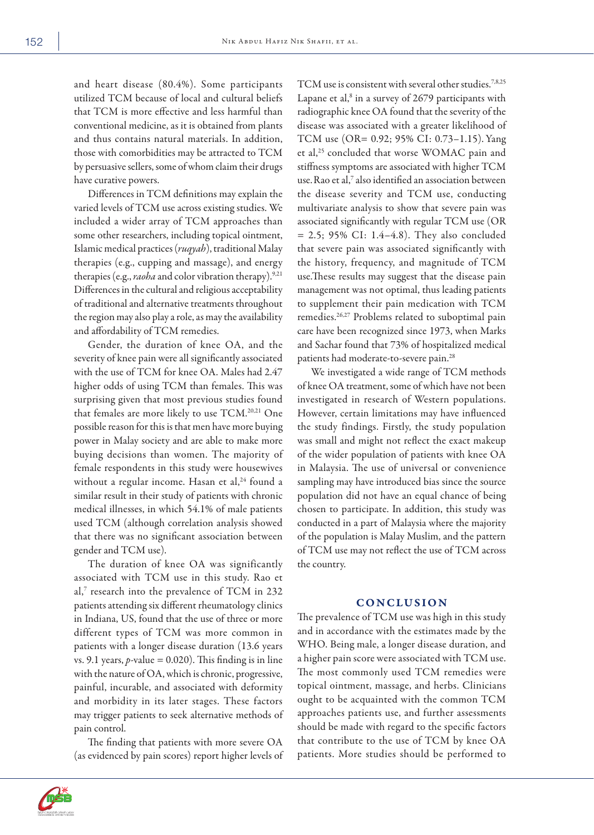and heart disease (80.4%). Some participants utilized TCM because of local and cultural beliefs that TCM is more effective and less harmful than conventional medicine, as it is obtained from plants and thus contains natural materials. In addition, those with comorbidities may be attracted to TCM by persuasive sellers, some of whom claim their drugs have curative powers.

Differences in TCM definitions may explain the varied levels of TCM use across existing studies. We included a wider array of TCM approaches than some other researchers, including topical ointment, Islamic medical practices (*ruqyah*), traditional Malay therapies (e.g., cupping and massage), and energy therapies (e.g., *raoha* and color vibration therapy).<sup>9,21</sup> Differences in the cultural and religious acceptability of traditional and alternative treatments throughout the region may also play a role, as may the availability and affordability of TCM remedies.

Gender, the duration of knee OA, and the severity of knee pain were all significantly associated with the use of TCM for knee OA. Males had 2.47 higher odds of using TCM than females. This was surprising given that most previous studies found that females are more likely to use TCM. 20,21 One possible reason for this is that men have more buying power in Malay society and are able to make more buying decisions than women. The majority of female respondents in this study were housewives without a regular income. Hasan et al,<sup>24</sup> found a similar result in their study of patients with chronic medical illnesses, in which 54.1% of male patients used TCM (although correlation analysis showed that there was no significant association between gender and TCM use).

The duration of knee OA was significantly associated with TCM use in this study. Rao et al,7 research into the prevalence of TCM in 232 patients attending six different rheumatology clinics in Indiana, US, found that the use of three or more different types of TCM was more common in patients with a longer disease duration (13.6 years vs. 9.1 years,  $p$ -value = 0.020). This finding is in line with the nature of OA, which is chronic, progressive, painful, incurable, and associated with deformity and morbidity in its later stages. These factors may trigger patients to seek alternative methods of pain control.

The finding that patients with more severe OA (as evidenced by pain scores) report higher levels of TCM use is consistent with several other studies.<sup>7,8,25</sup> Lapane et al,<sup>8</sup> in a survey of 2679 participants with radiographic knee OA found that the severity of the disease was associated with a greater likelihood of TCM use (OR= 0.92; 95% CI: 0.73–1.15). Yang et al,<sup>25</sup> concluded that worse WOMAC pain and stiffness symptoms are associated with higher TCM use. Rao et al,<sup>7</sup> also identified an association between the disease severity and TCM use, conducting multivariate analysis to show that severe pain was associated significantly with regular TCM use (OR  $= 2.5$ ; 95% CI: 1.4–4.8). They also concluded that severe pain was associated significantly with the history, frequency, and magnitude of TCM use.These results may suggest that the disease pain management was not optimal, thus leading patients to supplement their pain medication with TCM remedies.26,27 Problems related to suboptimal pain care have been recognized since 1973, when Marks and Sachar found that 73% of hospitalized medical patients had moderate-to-severe pain.28

We investigated a wide range of TCM methods of knee OA treatment, some of which have not been investigated in research of Western populations. However, certain limitations may have influenced the study findings. Firstly, the study population was small and might not reflect the exact makeup of the wider population of patients with knee OA in Malaysia. The use of universal or convenience sampling may have introduced bias since the source population did not have an equal chance of being chosen to participate. In addition, this study was conducted in a part of Malaysia where the majority of the population is Malay Muslim, and the pattern of TCM use may not reflect the use of TCM across the country.

## **CONCLUSION**

The prevalence of TCM use was high in this study and in accordance with the estimates made by the WHO. Being male, a longer disease duration, and a higher pain score were associated with TCM use. The most commonly used TCM remedies were topical ointment, massage, and herbs. Clinicians ought to be acquainted with the common TCM approaches patients use, and further assessments should be made with regard to the specific factors that contribute to the use of TCM by knee OA patients. More studies should be performed to